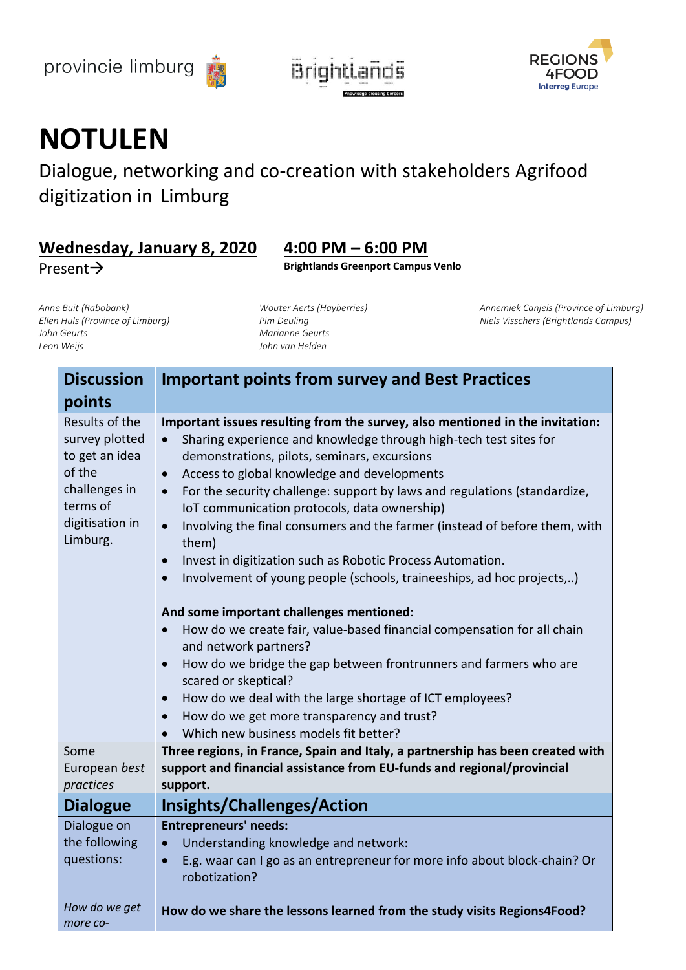





## **NOTULEN**

Dialogue, networking and co-creation with stakeholders Agrifood digitization in Limburg

## **Wednesday, January 8, 2020 4:00 PM – 6:00 PM**

Present→ **Brightlands Greenport Campus Venlo**

*Anne Buit (Rabobank) Ellen Huls (Province of Limburg) John Geurts Leon Weijs*

*Wouter Aerts (Hayberries) Pim Deuling Marianne Geurts John van Helden*

*Annemiek Canjels (Province of Limburg) Niels Visschers (Brightlands Campus)*

| <b>Discussion</b>                                                                                                        | <b>Important points from survey and Best Practices</b>                                                                                                                                                                                                                                                                                                                                                                                                                                                                                                                                                                                                                        |
|--------------------------------------------------------------------------------------------------------------------------|-------------------------------------------------------------------------------------------------------------------------------------------------------------------------------------------------------------------------------------------------------------------------------------------------------------------------------------------------------------------------------------------------------------------------------------------------------------------------------------------------------------------------------------------------------------------------------------------------------------------------------------------------------------------------------|
| points                                                                                                                   |                                                                                                                                                                                                                                                                                                                                                                                                                                                                                                                                                                                                                                                                               |
| Results of the<br>survey plotted<br>to get an idea<br>of the<br>challenges in<br>terms of<br>digitisation in<br>Limburg. | Important issues resulting from the survey, also mentioned in the invitation:<br>Sharing experience and knowledge through high-tech test sites for<br>$\bullet$<br>demonstrations, pilots, seminars, excursions<br>Access to global knowledge and developments<br>$\bullet$<br>For the security challenge: support by laws and regulations (standardize,<br>$\bullet$<br>IoT communication protocols, data ownership)<br>Involving the final consumers and the farmer (instead of before them, with<br>$\bullet$<br>them)<br>Invest in digitization such as Robotic Process Automation.<br>$\bullet$<br>Involvement of young people (schools, traineeships, ad hoc projects,) |
|                                                                                                                          | And some important challenges mentioned:                                                                                                                                                                                                                                                                                                                                                                                                                                                                                                                                                                                                                                      |
|                                                                                                                          | How do we create fair, value-based financial compensation for all chain<br>$\bullet$<br>and network partners?                                                                                                                                                                                                                                                                                                                                                                                                                                                                                                                                                                 |
|                                                                                                                          | How do we bridge the gap between frontrunners and farmers who are<br>$\bullet$<br>scared or skeptical?                                                                                                                                                                                                                                                                                                                                                                                                                                                                                                                                                                        |
|                                                                                                                          | How do we deal with the large shortage of ICT employees?<br>$\bullet$                                                                                                                                                                                                                                                                                                                                                                                                                                                                                                                                                                                                         |
|                                                                                                                          | How do we get more transparency and trust?<br>$\bullet$                                                                                                                                                                                                                                                                                                                                                                                                                                                                                                                                                                                                                       |
|                                                                                                                          | Which new business models fit better?                                                                                                                                                                                                                                                                                                                                                                                                                                                                                                                                                                                                                                         |
| Some                                                                                                                     | Three regions, in France, Spain and Italy, a partnership has been created with                                                                                                                                                                                                                                                                                                                                                                                                                                                                                                                                                                                                |
| European best                                                                                                            | support and financial assistance from EU-funds and regional/provincial                                                                                                                                                                                                                                                                                                                                                                                                                                                                                                                                                                                                        |
| practices                                                                                                                | support.                                                                                                                                                                                                                                                                                                                                                                                                                                                                                                                                                                                                                                                                      |
| <b>Dialogue</b>                                                                                                          | <b>Insights/Challenges/Action</b>                                                                                                                                                                                                                                                                                                                                                                                                                                                                                                                                                                                                                                             |
| Dialogue on                                                                                                              | <b>Entrepreneurs' needs:</b>                                                                                                                                                                                                                                                                                                                                                                                                                                                                                                                                                                                                                                                  |
| the following                                                                                                            | Understanding knowledge and network:                                                                                                                                                                                                                                                                                                                                                                                                                                                                                                                                                                                                                                          |
| questions:                                                                                                               | E.g. waar can I go as an entrepreneur for more info about block-chain? Or<br>$\bullet$<br>robotization?                                                                                                                                                                                                                                                                                                                                                                                                                                                                                                                                                                       |
| How do we get<br>more co-                                                                                                | How do we share the lessons learned from the study visits Regions4Food?                                                                                                                                                                                                                                                                                                                                                                                                                                                                                                                                                                                                       |